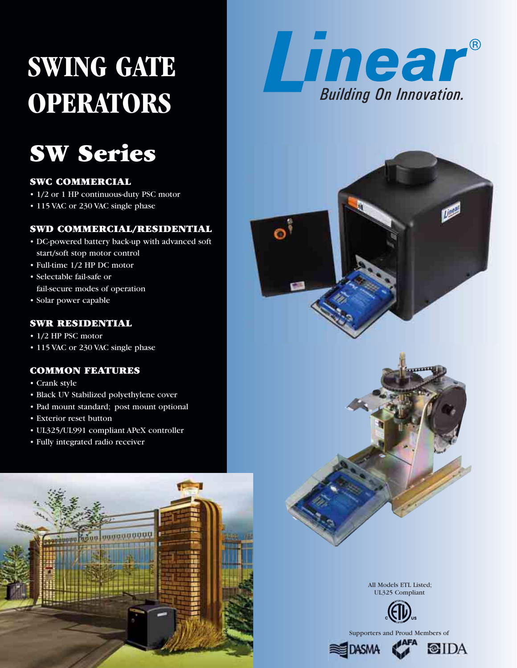# **SWING GATE OPERATORS**

## **SW Series**

## **SWC COMMERCIAL**

- 1/2 or 1 HP continuous-duty PSC motor
- 115 VAC or 230 VAC single phase

## **SWD COMMERCIAL/RESIDENTIAL**

- DC-powered battery back-up with advanced soft start/soft stop motor control
- Full-time 1/2 HP DC motor
- Selectable fail-safe or fail-secure modes of operation
- Solar power capable

## **SWR RESIDENTIAL**

- 1/2 HP PSC motor
- 115 VAC or 230 VAC single phase

## **COMMON FEATURES**

- Crank style
- Black UV Stabilized polyethylene cover
- Pad mount standard; post mount optional
- Exterior reset button
- UL325/UL991 compliant APeX controller
- Fully integrated radio receiver







All Models ETL Listed; UL325 Compliant



Supporters and Proud Members of